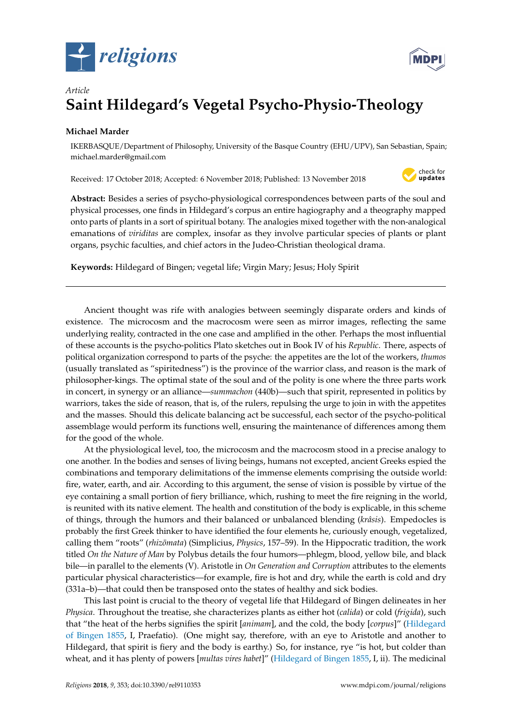



## *Article* **Saint Hildegard's Vegetal Psycho-Physio-Theology**

## **Michael Marder**

IKERBASQUE/Department of Philosophy, University of the Basque Country (EHU/UPV), San Sebastian, Spain; michael.marder@gmail.com

Received: 17 October 2018; Accepted: 6 November 2018; Published: 13 November 2018



**Abstract:** Besides a series of psycho-physiological correspondences between parts of the soul and physical processes, one finds in Hildegard's corpus an entire hagiography and a theography mapped onto parts of plants in a sort of spiritual botany. The analogies mixed together with the non-analogical emanations of *viriditas* are complex, insofar as they involve particular species of plants or plant organs, psychic faculties, and chief actors in the Judeo-Christian theological drama.

**Keywords:** Hildegard of Bingen; vegetal life; Virgin Mary; Jesus; Holy Spirit

Ancient thought was rife with analogies between seemingly disparate orders and kinds of existence. The microcosm and the macrocosm were seen as mirror images, reflecting the same underlying reality, contracted in the one case and amplified in the other. Perhaps the most influential of these accounts is the psycho-politics Plato sketches out in Book IV of his *Republic*. There, aspects of political organization correspond to parts of the psyche: the appetites are the lot of the workers, *thumos* (usually translated as "spiritedness") is the province of the warrior class, and reason is the mark of philosopher-kings. The optimal state of the soul and of the polity is one where the three parts work in concert, in synergy or an alliance—*summachon* (440b)—such that spirit, represented in politics by warriors, takes the side of reason, that is, of the rulers, repulsing the urge to join in with the appetites and the masses. Should this delicate balancing act be successful, each sector of the psycho-political assemblage would perform its functions well, ensuring the maintenance of differences among them for the good of the whole.

At the physiological level, too, the microcosm and the macrocosm stood in a precise analogy to one another. In the bodies and senses of living beings, humans not excepted, ancient Greeks espied the combinations and temporary delimitations of the immense elements comprising the outside world: fire, water, earth, and air. According to this argument, the sense of vision is possible by virtue of the eye containing a small portion of fiery brilliance, which, rushing to meet the fire reigning in the world, is reunited with its native element. The health and constitution of the body is explicable, in this scheme of things, through the humors and their balanced or unbalanced blending (*krâsis*). Empedocles is probably the first Greek thinker to have identified the four elements he, curiously enough, vegetalized, calling them "roots" (*rhizōmata*) (Simplicius, *Physics*, 157–59). In the Hippocratic tradition, the work titled *On the Nature of Man* by Polybus details the four humors—phlegm, blood, yellow bile, and black bile—in parallel to the elements (V). Aristotle in *On Generation and Corruption* attributes to the elements particular physical characteristics—for example, fire is hot and dry, while the earth is cold and dry (331a–b)—that could then be transposed onto the states of healthy and sick bodies.

This last point is crucial to the theory of vegetal life that Hildegard of Bingen delineates in her *Physica*. Throughout the treatise, she characterizes plants as either hot (*calida*) or cold (*frigida*), such that "the heat of the herbs signifies the spirit [*animam*], and the cold, the body [*corpus*]" [\(Hildegard](#page-8-0) [of Bingen](#page-8-0) [1855,](#page-8-0) I, Praefatio). (One might say, therefore, with an eye to Aristotle and another to Hildegard, that spirit is fiery and the body is earthy.) So, for instance, rye "is hot, but colder than wheat, and it has plenty of powers [*multas vires habet*]" [\(Hildegard of Bingen](#page-8-0) [1855,](#page-8-0) I, ii). The medicinal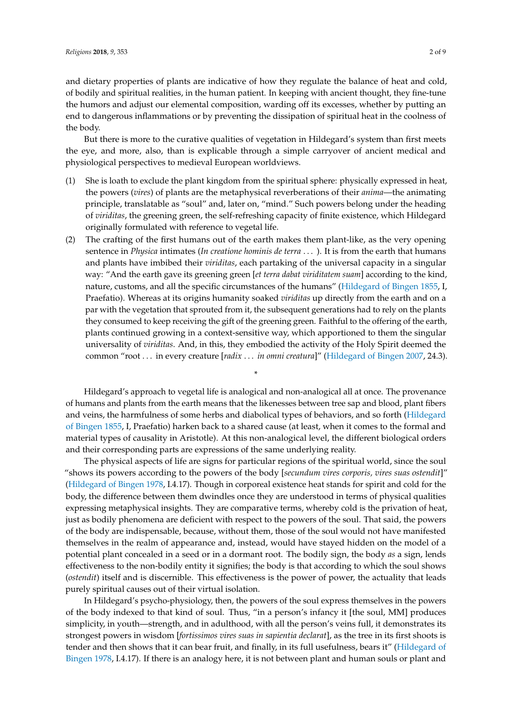and dietary properties of plants are indicative of how they regulate the balance of heat and cold, of bodily and spiritual realities, in the human patient. In keeping with ancient thought, they fine-tune the humors and adjust our elemental composition, warding off its excesses, whether by putting an end to dangerous inflammations or by preventing the dissipation of spiritual heat in the coolness of the body.

But there is more to the curative qualities of vegetation in Hildegard's system than first meets the eye, and more, also, than is explicable through a simple carryover of ancient medical and physiological perspectives to medieval European worldviews.

- (1) She is loath to exclude the plant kingdom from the spiritual sphere: physically expressed in heat, the powers (*vires*) of plants are the metaphysical reverberations of their *anima*—the animating principle, translatable as "soul" and, later on, "mind." Such powers belong under the heading of *viriditas*, the greening green, the self-refreshing capacity of finite existence, which Hildegard originally formulated with reference to vegetal life.
- (2) The crafting of the first humans out of the earth makes them plant-like, as the very opening sentence in *Physica* intimates (*In creatione hominis de terra* . . . ). It is from the earth that humans and plants have imbibed their *viriditas*, each partaking of the universal capacity in a singular way: "And the earth gave its greening green [*et terra dabat viriditatem suam*] according to the kind, nature, customs, and all the specific circumstances of the humans" [\(Hildegard of Bingen](#page-8-0) [1855,](#page-8-0) I, Praefatio). Whereas at its origins humanity soaked *viriditas* up directly from the earth and on a par with the vegetation that sprouted from it, the subsequent generations had to rely on the plants they consumed to keep receiving the gift of the greening green. Faithful to the offering of the earth, plants continued growing in a context-sensitive way, which apportioned to them the singular universality of *viriditas*. And, in this, they embodied the activity of the Holy Spirit deemed the common "root . . . in every creature [*radix* . . . *in omni creatura*]" [\(Hildegard of Bingen](#page-8-1) [2007,](#page-8-1) 24.3).

Hildegard's approach to vegetal life is analogical and non-analogical all at once. The provenance of humans and plants from the earth means that the likenesses between tree sap and blood, plant fibers and veins, the harmfulness of some herbs and diabolical types of behaviors, and so forth [\(Hildegard](#page-8-0) [of Bingen](#page-8-0) [1855,](#page-8-0) I, Praefatio) harken back to a shared cause (at least, when it comes to the formal and material types of causality in Aristotle). At this non-analogical level, the different biological orders and their corresponding parts are expressions of the same underlying reality.

\*

The physical aspects of life are signs for particular regions of the spiritual world, since the soul "shows its powers according to the powers of the body [*secundum vires corporis, vires suas ostendit*]" [\(Hildegard of Bingen](#page-8-2) [1978,](#page-8-2) I.4.17). Though in corporeal existence heat stands for spirit and cold for the body, the difference between them dwindles once they are understood in terms of physical qualities expressing metaphysical insights. They are comparative terms, whereby cold is the privation of heat, just as bodily phenomena are deficient with respect to the powers of the soul. That said, the powers of the body are indispensable, because, without them, those of the soul would not have manifested themselves in the realm of appearance and, instead, would have stayed hidden on the model of a potential plant concealed in a seed or in a dormant root. The bodily sign, the body *as* a sign, lends effectiveness to the non-bodily entity it signifies; the body is that according to which the soul shows (*ostendit*) itself and is discernible. This effectiveness is the power of power, the actuality that leads purely spiritual causes out of their virtual isolation.

In Hildegard's psycho-physiology, then, the powers of the soul express themselves in the powers of the body indexed to that kind of soul. Thus, "in a person's infancy it [the soul, MM] produces simplicity, in youth—strength, and in adulthood, with all the person's veins full, it demonstrates its strongest powers in wisdom [*fortissimos vires suas in sapientia declarat*], as the tree in its first shoots is tender and then shows that it can bear fruit, and finally, in its full usefulness, bears it" [\(Hildegard of](#page-8-2) [Bingen](#page-8-2) [1978,](#page-8-2) I.4.17). If there is an analogy here, it is not between plant and human souls or plant and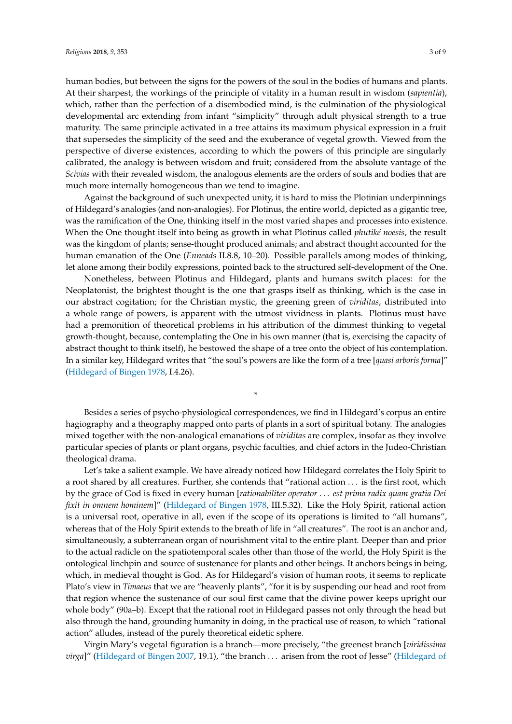human bodies, but between the signs for the powers of the soul in the bodies of humans and plants. At their sharpest, the workings of the principle of vitality in a human result in wisdom (*sapientia*), which, rather than the perfection of a disembodied mind, is the culmination of the physiological developmental arc extending from infant "simplicity" through adult physical strength to a true maturity. The same principle activated in a tree attains its maximum physical expression in a fruit that supersedes the simplicity of the seed and the exuberance of vegetal growth. Viewed from the perspective of diverse existences, according to which the powers of this principle are singularly calibrated, the analogy is between wisdom and fruit; considered from the absolute vantage of the *Scivias* with their revealed wisdom, the analogous elements are the orders of souls and bodies that are much more internally homogeneous than we tend to imagine.

Against the background of such unexpected unity, it is hard to miss the Plotinian underpinnings of Hildegard's analogies (and non-analogies). For Plotinus, the entire world, depicted as a gigantic tree, was the ramification of the One, thinking itself in the most varied shapes and processes into existence. When the One thought itself into being as growth in what Plotinus called *phutiké noesis*, the result was the kingdom of plants; sense-thought produced animals; and abstract thought accounted for the human emanation of the One (*Enneads* II.8.8, 10–20). Possible parallels among modes of thinking, let alone among their bodily expressions, pointed back to the structured self-development of the One.

Nonetheless, between Plotinus and Hildegard, plants and humans switch places: for the Neoplatonist, the brightest thought is the one that grasps itself as thinking, which is the case in our abstract cogitation; for the Christian mystic, the greening green of *viriditas*, distributed into a whole range of powers, is apparent with the utmost vividness in plants. Plotinus must have had a premonition of theoretical problems in his attribution of the dimmest thinking to vegetal growth-thought, because, contemplating the One in his own manner (that is, exercising the capacity of abstract thought to think itself), he bestowed the shape of a tree onto the object of his contemplation. In a similar key, Hildegard writes that "the soul's powers are like the form of a tree [*quasi arboris forma*]" [\(Hildegard of Bingen](#page-8-2) [1978,](#page-8-2) I.4.26).

Besides a series of psycho-physiological correspondences, we find in Hildegard's corpus an entire hagiography and a theography mapped onto parts of plants in a sort of spiritual botany. The analogies mixed together with the non-analogical emanations of *viriditas* are complex, insofar as they involve particular species of plants or plant organs, psychic faculties, and chief actors in the Judeo-Christian theological drama.

\*

Let's take a salient example. We have already noticed how Hildegard correlates the Holy Spirit to a root shared by all creatures. Further, she contends that "rational action . . . is the first root, which by the grace of God is fixed in every human [*rationabiliter operator* . . . *est prima radix quam gratia Dei fixit in omnem hominem*]" [\(Hildegard of Bingen](#page-8-2) [1978,](#page-8-2) III.5.32). Like the Holy Spirit, rational action is a universal root, operative in all, even if the scope of its operations is limited to "all humans", whereas that of the Holy Spirit extends to the breath of life in "all creatures". The root is an anchor and, simultaneously, a subterranean organ of nourishment vital to the entire plant. Deeper than and prior to the actual radicle on the spatiotemporal scales other than those of the world, the Holy Spirit is the ontological linchpin and source of sustenance for plants and other beings. It anchors beings in being, which, in medieval thought is God. As for Hildegard's vision of human roots, it seems to replicate Plato's view in *Timaeus* that we are "heavenly plants", "for it is by suspending our head and root from that region whence the sustenance of our soul first came that the divine power keeps upright our whole body" (90a–b). Except that the rational root in Hildegard passes not only through the head but also through the hand, grounding humanity in doing, in the practical use of reason, to which "rational action" alludes, instead of the purely theoretical eidetic sphere.

Virgin Mary's vegetal figuration is a branch—more precisely, "the greenest branch [*viridissima virga*]" [\(Hildegard of Bingen](#page-8-1) [2007,](#page-8-1) 19.1), "the branch . . . arisen from the root of Jesse" [\(Hildegard of](#page-8-2)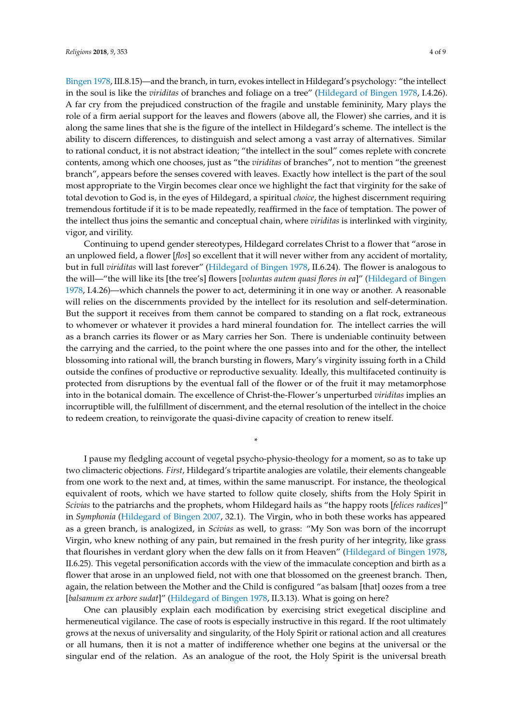[Bingen](#page-8-2) [1978,](#page-8-2) III.8.15)—and the branch, in turn, evokes intellect in Hildegard's psychology: "the intellect in the soul is like the *viriditas* of branches and foliage on a tree" [\(Hildegard of Bingen](#page-8-2) [1978,](#page-8-2) I.4.26). A far cry from the prejudiced construction of the fragile and unstable femininity, Mary plays the role of a firm aerial support for the leaves and flowers (above all, the Flower) she carries, and it is along the same lines that she is the figure of the intellect in Hildegard's scheme. The intellect is the ability to discern differences, to distinguish and select among a vast array of alternatives. Similar to rational conduct, it is not abstract ideation; "the intellect in the soul" comes replete with concrete contents, among which one chooses, just as "the *viriditas* of branches", not to mention "the greenest branch", appears before the senses covered with leaves. Exactly how intellect is the part of the soul most appropriate to the Virgin becomes clear once we highlight the fact that virginity for the sake of total devotion to God is, in the eyes of Hildegard, a spiritual *choice*, the highest discernment requiring tremendous fortitude if it is to be made repeatedly, reaffirmed in the face of temptation. The power of the intellect thus joins the semantic and conceptual chain, where *viriditas* is interlinked with virginity, vigor, and virility.

Continuing to upend gender stereotypes, Hildegard correlates Christ to a flower that "arose in an unplowed field, a flower [*flos*] so excellent that it will never wither from any accident of mortality, but in full *viriditas* will last forever" [\(Hildegard of Bingen](#page-8-2) [1978,](#page-8-2) II.6.24). The flower is analogous to the will—"the will like its [the tree's] flowers [*voluntas autem quasi flores in ea*]" [\(Hildegard of Bingen](#page-8-2) [1978,](#page-8-2) I.4.26)—which channels the power to act, determining it in one way or another. A reasonable will relies on the discernments provided by the intellect for its resolution and self-determination. But the support it receives from them cannot be compared to standing on a flat rock, extraneous to whomever or whatever it provides a hard mineral foundation for. The intellect carries the will as a branch carries its flower or as Mary carries her Son. There is undeniable continuity between the carrying and the carried, to the point where the one passes into and for the other, the intellect blossoming into rational will, the branch bursting in flowers, Mary's virginity issuing forth in a Child outside the confines of productive or reproductive sexuality. Ideally, this multifaceted continuity is protected from disruptions by the eventual fall of the flower or of the fruit it may metamorphose into in the botanical domain. The excellence of Christ-the-Flower's unperturbed *viriditas* implies an incorruptible will, the fulfillment of discernment, and the eternal resolution of the intellect in the choice to redeem creation, to reinvigorate the quasi-divine capacity of creation to renew itself.

I pause my fledgling account of vegetal psycho-physio-theology for a moment, so as to take up two climacteric objections. *First*, Hildegard's tripartite analogies are volatile, their elements changeable from one work to the next and, at times, within the same manuscript. For instance, the theological equivalent of roots, which we have started to follow quite closely, shifts from the Holy Spirit in *Scivias* to the patriarchs and the prophets, whom Hildegard hails as "the happy roots [*felices radices*]" in *Symphonia* [\(Hildegard of Bingen](#page-8-1) [2007,](#page-8-1) 32.1). The Virgin, who in both these works has appeared as a green branch, is analogized, in *Scivias* as well, to grass: "My Son was born of the incorrupt Virgin, who knew nothing of any pain, but remained in the fresh purity of her integrity, like grass that flourishes in verdant glory when the dew falls on it from Heaven" [\(Hildegard of Bingen](#page-8-2) [1978,](#page-8-2) II.6.25). This vegetal personification accords with the view of the immaculate conception and birth as a flower that arose in an unplowed field, not with one that blossomed on the greenest branch. Then, again, the relation between the Mother and the Child is configured "as balsam [that] oozes from a tree [*balsamum ex arbore sudat*]" [\(Hildegard of Bingen](#page-8-2) [1978,](#page-8-2) II.3.13). What is going on here?

\*

One can plausibly explain each modification by exercising strict exegetical discipline and hermeneutical vigilance. The case of roots is especially instructive in this regard. If the root ultimately grows at the nexus of universality and singularity, of the Holy Spirit or rational action and all creatures or all humans, then it is not a matter of indifference whether one begins at the universal or the singular end of the relation. As an analogue of the root, the Holy Spirit is the universal breath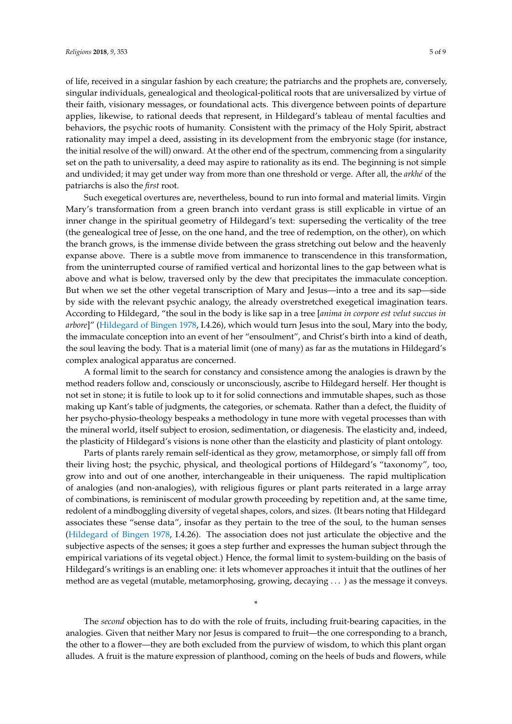of life, received in a singular fashion by each creature; the patriarchs and the prophets are, conversely, singular individuals, genealogical and theological-political roots that are universalized by virtue of their faith, visionary messages, or foundational acts. This divergence between points of departure applies, likewise, to rational deeds that represent, in Hildegard's tableau of mental faculties and behaviors, the psychic roots of humanity. Consistent with the primacy of the Holy Spirit, abstract rationality may impel a deed, assisting in its development from the embryonic stage (for instance, the initial resolve of the will) onward. At the other end of the spectrum, commencing from a singularity set on the path to universality, a deed may aspire to rationality as its end. The beginning is not simple and undivided; it may get under way from more than one threshold or verge. After all, the *arkhé* of the patriarchs is also the *first* root.

Such exegetical overtures are, nevertheless, bound to run into formal and material limits. Virgin Mary's transformation from a green branch into verdant grass is still explicable in virtue of an inner change in the spiritual geometry of Hildegard's text: superseding the verticality of the tree (the genealogical tree of Jesse, on the one hand, and the tree of redemption, on the other), on which the branch grows, is the immense divide between the grass stretching out below and the heavenly expanse above. There is a subtle move from immanence to transcendence in this transformation, from the uninterrupted course of ramified vertical and horizontal lines to the gap between what is above and what is below, traversed only by the dew that precipitates the immaculate conception. But when we set the other vegetal transcription of Mary and Jesus—into a tree and its sap—side by side with the relevant psychic analogy, the already overstretched exegetical imagination tears. According to Hildegard, "the soul in the body is like sap in a tree [*anima in corpore est velut succus in arbore*]" [\(Hildegard of Bingen](#page-8-2) [1978,](#page-8-2) I.4.26), which would turn Jesus into the soul, Mary into the body, the immaculate conception into an event of her "ensoulment", and Christ's birth into a kind of death, the soul leaving the body. That is a material limit (one of many) as far as the mutations in Hildegard's complex analogical apparatus are concerned.

A formal limit to the search for constancy and consistence among the analogies is drawn by the method readers follow and, consciously or unconsciously, ascribe to Hildegard herself. Her thought is not set in stone; it is futile to look up to it for solid connections and immutable shapes, such as those making up Kant's table of judgments, the categories, or schemata. Rather than a defect, the fluidity of her psycho-physio-theology bespeaks a methodology in tune more with vegetal processes than with the mineral world, itself subject to erosion, sedimentation, or diagenesis. The elasticity and, indeed, the plasticity of Hildegard's visions is none other than the elasticity and plasticity of plant ontology.

Parts of plants rarely remain self-identical as they grow, metamorphose, or simply fall off from their living host; the psychic, physical, and theological portions of Hildegard's "taxonomy", too, grow into and out of one another, interchangeable in their uniqueness. The rapid multiplication of analogies (and non-analogies), with religious figures or plant parts reiterated in a large array of combinations, is reminiscent of modular growth proceeding by repetition and, at the same time, redolent of a mindboggling diversity of vegetal shapes, colors, and sizes. (It bears noting that Hildegard associates these "sense data", insofar as they pertain to the tree of the soul, to the human senses [\(Hildegard of Bingen](#page-8-2) [1978,](#page-8-2) I.4.26). The association does not just articulate the objective and the subjective aspects of the senses; it goes a step further and expresses the human subject through the empirical variations of its vegetal object.) Hence, the formal limit to system-building on the basis of Hildegard's writings is an enabling one: it lets whomever approaches it intuit that the outlines of her method are as vegetal (mutable, metamorphosing, growing, decaying . . . ) as the message it conveys.

The *second* objection has to do with the role of fruits, including fruit-bearing capacities, in the analogies. Given that neither Mary nor Jesus is compared to fruit—the one corresponding to a branch, the other to a flower—they are both excluded from the purview of wisdom, to which this plant organ alludes. A fruit is the mature expression of planthood, coming on the heels of buds and flowers, while

\*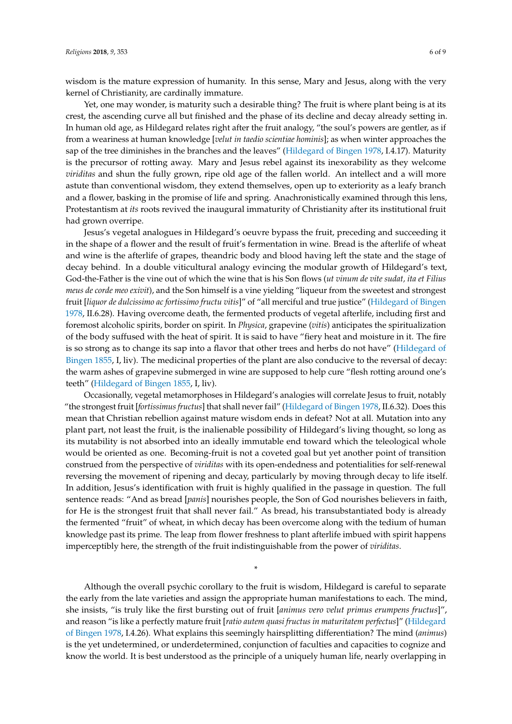wisdom is the mature expression of humanity. In this sense, Mary and Jesus, along with the very kernel of Christianity, are cardinally immature.

Yet, one may wonder, is maturity such a desirable thing? The fruit is where plant being is at its crest, the ascending curve all but finished and the phase of its decline and decay already setting in. In human old age, as Hildegard relates right after the fruit analogy, "the soul's powers are gentler, as if from a weariness at human knowledge [*velut in taedio scientiae hominis*]; as when winter approaches the sap of the tree diminishes in the branches and the leaves" [\(Hildegard of Bingen](#page-8-2) [1978,](#page-8-2) I.4.17). Maturity is the precursor of rotting away. Mary and Jesus rebel against its inexorability as they welcome *viriditas* and shun the fully grown, ripe old age of the fallen world. An intellect and a will more astute than conventional wisdom, they extend themselves, open up to exteriority as a leafy branch and a flower, basking in the promise of life and spring. Anachronistically examined through this lens, Protestantism at *its* roots revived the inaugural immaturity of Christianity after its institutional fruit had grown overripe.

Jesus's vegetal analogues in Hildegard's oeuvre bypass the fruit, preceding and succeeding it in the shape of a flower and the result of fruit's fermentation in wine. Bread is the afterlife of wheat and wine is the afterlife of grapes, theandric body and blood having left the state and the stage of decay behind. In a double viticultural analogy evincing the modular growth of Hildegard's text, God-the-Father is the vine out of which the wine that is his Son flows (*ut vinum de vite sudat, ita et Filius meus de corde meo exivit*), and the Son himself is a vine yielding "liqueur from the sweetest and strongest fruit [*liquor de dulcissimo ac fortissimo fructu vitis*]" of "all merciful and true justice" [\(Hildegard of Bingen](#page-8-2) [1978,](#page-8-2) II.6.28). Having overcome death, the fermented products of vegetal afterlife, including first and foremost alcoholic spirits, border on spirit. In *Physica*, grapevine (*vitis*) anticipates the spiritualization of the body suffused with the heat of spirit. It is said to have "fiery heat and moisture in it. The fire is so strong as to change its sap into a flavor that other trees and herbs do not have" [\(Hildegard of](#page-8-0) [Bingen](#page-8-0) [1855,](#page-8-0) I, liv). The medicinal properties of the plant are also conducive to the reversal of decay: the warm ashes of grapevine submerged in wine are supposed to help cure "flesh rotting around one's teeth" [\(Hildegard of Bingen](#page-8-0) [1855,](#page-8-0) I, liv).

Occasionally, vegetal metamorphoses in Hildegard's analogies will correlate Jesus to fruit, notably "the strongest fruit [*fortissimus fructus*] that shall never fail" [\(Hildegard of Bingen](#page-8-2) [1978,](#page-8-2) II.6.32). Does this mean that Christian rebellion against mature wisdom ends in defeat? Not at all. Mutation into any plant part, not least the fruit, is the inalienable possibility of Hildegard's living thought, so long as its mutability is not absorbed into an ideally immutable end toward which the teleological whole would be oriented as one. Becoming-fruit is not a coveted goal but yet another point of transition construed from the perspective of *viriditas* with its open-endedness and potentialities for self-renewal reversing the movement of ripening and decay, particularly by moving through decay to life itself. In addition, Jesus's identification with fruit is highly qualified in the passage in question. The full sentence reads: "And as bread [*panis*] nourishes people, the Son of God nourishes believers in faith, for He is the strongest fruit that shall never fail." As bread, his transubstantiated body is already the fermented "fruit" of wheat, in which decay has been overcome along with the tedium of human knowledge past its prime. The leap from flower freshness to plant afterlife imbued with spirit happens imperceptibly here, the strength of the fruit indistinguishable from the power of *viriditas*.

Although the overall psychic corollary to the fruit is wisdom, Hildegard is careful to separate the early from the late varieties and assign the appropriate human manifestations to each. The mind, she insists, "is truly like the first bursting out of fruit [*animus vero velut primus erumpens fructus*]", and reason "is like a perfectly mature fruit [*ratio autem quasi fructus in maturitatem perfectus*]" [\(Hildegard](#page-8-2) [of Bingen](#page-8-2) [1978,](#page-8-2) I.4.26). What explains this seemingly hairsplitting differentiation? The mind (*animus*) is the yet undetermined, or underdetermined, conjunction of faculties and capacities to cognize and know the world. It is best understood as the principle of a uniquely human life, nearly overlapping in

\*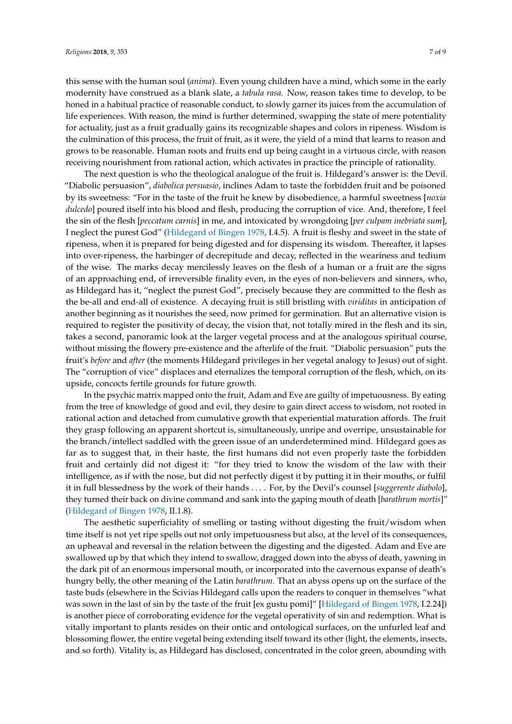this sense with the human soul (*anima*). Even young children have a mind, which some in the early modernity have construed as a blank slate, a *tabula rasa.* Now, reason takes time to develop, to be honed in a habitual practice of reasonable conduct, to slowly garner its juices from the accumulation of life experiences. With reason, the mind is further determined, swapping the state of mere potentiality for actuality, just as a fruit gradually gains its recognizable shapes and colors in ripeness. Wisdom is the culmination of this process, the fruit of fruit, as it were, the yield of a mind that learns to reason and grows to be reasonable. Human roots and fruits end up being caught in a virtuous circle, with reason receiving nourishment from rational action, which activates in practice the principle of rationality.

The next question is who the theological analogue of the fruit is. Hildegard's answer is: the Devil. "Diabolic persuasion", *diabolica persuasio*, inclines Adam to taste the forbidden fruit and be poisoned by its sweetness: "For in the taste of the fruit he knew by disobedience, a harmful sweetness [*noxia dulcedo*] poured itself into his blood and flesh, producing the corruption of vice. And, therefore, I feel the sin of the flesh [*peccatum carnis*] in me, and intoxicated by wrongdoing [*per culpam inebriata sum*], I neglect the purest God" [\(Hildegard of Bingen](#page-8-2) [1978,](#page-8-2) I.4.5). A fruit is fleshy and sweet in the state of ripeness, when it is prepared for being digested and for dispensing its wisdom. Thereafter, it lapses into over-ripeness, the harbinger of decrepitude and decay, reflected in the weariness and tedium of the wise. The marks decay mercilessly leaves on the flesh of a human or a fruit are the signs of an approaching end, of irreversible finality even, in the eyes of non-believers and sinners, who, as Hildegard has it, "neglect the purest God", precisely because they are committed to the flesh as the be-all and end-all of existence. A decaying fruit is still bristling with *viriditas* in anticipation of another beginning as it nourishes the seed, now primed for germination. But an alternative vision is required to register the positivity of decay, the vision that, not totally mired in the flesh and its sin, takes a second, panoramic look at the larger vegetal process and at the analogous spiritual course, without missing the flowery pre-existence and the afterlife of the fruit. "Diabolic persuasion" puts the fruit's *before* and *after* (the moments Hildegard privileges in her vegetal analogy to Jesus) out of sight. The "corruption of vice" displaces and eternalizes the temporal corruption of the flesh, which, on its upside, concocts fertile grounds for future growth.

In the psychic matrix mapped onto the fruit, Adam and Eve are guilty of impetuousness. By eating from the tree of knowledge of good and evil, they desire to gain direct access to wisdom, not rooted in rational action and detached from cumulative growth that experiential maturation affords. The fruit they grasp following an apparent shortcut is, simultaneously, unripe and overripe, unsustainable for the branch/intellect saddled with the green issue of an underdetermined mind. Hildegard goes as far as to suggest that, in their haste, the first humans did not even properly taste the forbidden fruit and certainly did not digest it: "for they tried to know the wisdom of the law with their intelligence, as if with the nose, but did not perfectly digest it by putting it in their mouths, or fulfil it in full blessedness by the work of their hands . . . . For, by the Devil's counsel [*suggerente diabolo*], they turned their back on divine command and sank into the gaping mouth of death [*barathrum mortis*]" [\(Hildegard of Bingen](#page-8-2) [1978,](#page-8-2) II.1.8).

The aesthetic superficiality of smelling or tasting without digesting the fruit/wisdom when time itself is not yet ripe spells out not only impetuousness but also, at the level of its consequences, an upheaval and reversal in the relation between the digesting and the digested. Adam and Eve are swallowed up by that which they intend to swallow, dragged down into the abyss of death, yawning in the dark pit of an enormous impersonal mouth, or incorporated into the cavernous expanse of death's hungry belly, the other meaning of the Latin *barathrum*. That an abyss opens up on the surface of the taste buds (elsewhere in the Scivias Hildegard calls upon the readers to conquer in themselves "what was sown in the last of sin by the taste of the fruit [ex gustu pomi]" [\[Hildegard of Bingen](#page-8-2) [1978,](#page-8-2) I.2.24]) is another piece of corroborating evidence for the vegetal operativity of sin and redemption. What is vitally important to plants resides on their ontic and ontological surfaces, on the unfurled leaf and blossoming flower, the entire vegetal being extending itself toward its other (light, the elements, insects, and so forth). Vitality is, as Hildegard has disclosed, concentrated in the color green, abounding with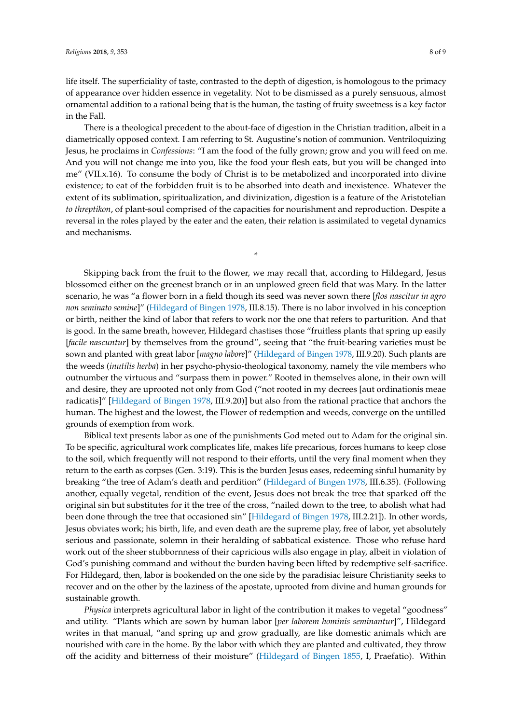life itself. The superficiality of taste, contrasted to the depth of digestion, is homologous to the primacy of appearance over hidden essence in vegetality. Not to be dismissed as a purely sensuous, almost ornamental addition to a rational being that is the human, the tasting of fruity sweetness is a key factor in the Fall.

There is a theological precedent to the about-face of digestion in the Christian tradition, albeit in a diametrically opposed context. I am referring to St. Augustine's notion of communion. Ventriloquizing Jesus, he proclaims in *Confessions*: "I am the food of the fully grown; grow and you will feed on me. And you will not change me into you, like the food your flesh eats, but you will be changed into me" (VII.x.16). To consume the body of Christ is to be metabolized and incorporated into divine existence; to eat of the forbidden fruit is to be absorbed into death and inexistence. Whatever the extent of its sublimation, spiritualization, and divinization, digestion is a feature of the Aristotelian *to threptikon*, of plant-soul comprised of the capacities for nourishment and reproduction. Despite a reversal in the roles played by the eater and the eaten, their relation is assimilated to vegetal dynamics and mechanisms.

\*

Skipping back from the fruit to the flower, we may recall that, according to Hildegard, Jesus blossomed either on the greenest branch or in an unplowed green field that was Mary. In the latter scenario, he was "a flower born in a field though its seed was never sown there [*flos nascitur in agro non seminato semine*]" [\(Hildegard of Bingen](#page-8-2) [1978,](#page-8-2) III.8.15). There is no labor involved in his conception or birth, neither the kind of labor that refers to work nor the one that refers to parturition. And that is good. In the same breath, however, Hildegard chastises those "fruitless plants that spring up easily [*facile nascuntur*] by themselves from the ground", seeing that "the fruit-bearing varieties must be sown and planted with great labor [*magno labore*]" [\(Hildegard of Bingen](#page-8-2) [1978,](#page-8-2) III.9.20). Such plants are the weeds (*inutilis herba*) in her psycho-physio-theological taxonomy, namely the vile members who outnumber the virtuous and "surpass them in power." Rooted in themselves alone, in their own will and desire, they are uprooted not only from God ("not rooted in my decrees [aut ordinationis meae radicatis]" [\[Hildegard of Bingen](#page-8-2) [1978,](#page-8-2) III.9.20)] but also from the rational practice that anchors the human. The highest and the lowest, the Flower of redemption and weeds, converge on the untilled grounds of exemption from work.

Biblical text presents labor as one of the punishments God meted out to Adam for the original sin. To be specific, agricultural work complicates life, makes life precarious, forces humans to keep close to the soil, which frequently will not respond to their efforts, until the very final moment when they return to the earth as corpses (Gen. 3:19). This is the burden Jesus eases, redeeming sinful humanity by breaking "the tree of Adam's death and perdition" [\(Hildegard of Bingen](#page-8-2) [1978,](#page-8-2) III.6.35). (Following another, equally vegetal, rendition of the event, Jesus does not break the tree that sparked off the original sin but substitutes for it the tree of the cross, "nailed down to the tree, to abolish what had been done through the tree that occasioned sin" [\[Hildegard of Bingen](#page-8-2) [1978,](#page-8-2) III.2.21]). In other words, Jesus obviates work; his birth, life, and even death are the supreme play, free of labor, yet absolutely serious and passionate, solemn in their heralding of sabbatical existence. Those who refuse hard work out of the sheer stubbornness of their capricious wills also engage in play, albeit in violation of God's punishing command and without the burden having been lifted by redemptive self-sacrifice. For Hildegard, then, labor is bookended on the one side by the paradisiac leisure Christianity seeks to recover and on the other by the laziness of the apostate, uprooted from divine and human grounds for sustainable growth.

*Physica* interprets agricultural labor in light of the contribution it makes to vegetal "goodness" and utility. "Plants which are sown by human labor [*per laborem hominis seminantur*]", Hildegard writes in that manual, "and spring up and grow gradually, are like domestic animals which are nourished with care in the home. By the labor with which they are planted and cultivated, they throw off the acidity and bitterness of their moisture" [\(Hildegard of Bingen](#page-8-0) [1855,](#page-8-0) I, Praefatio). Within